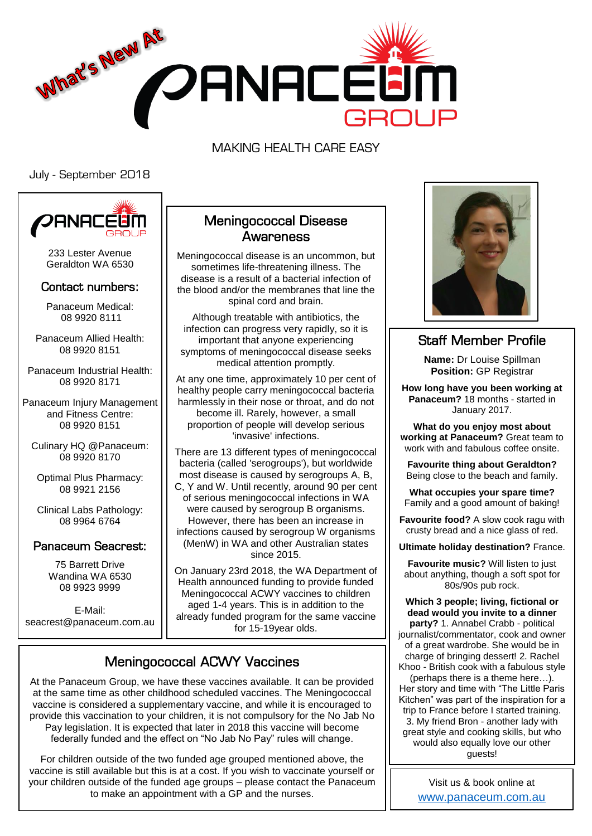

MAKING HEALTH CARE EASY

July - September 2018



233 Lester Avenue Geraldton WA 6530

#### Contact numbers:

Panaceum Medical: 08 9920 8111

Panaceum Allied Health: 08 9920 8151

Panaceum Industrial Health: 08 9920 8171

Panaceum Injury Management and Fitness Centre: 08 9920 8151

Culinary HQ @Panaceum: 08 9920 8170

Optimal Plus Pharmacy: 08 9921 2156

Clinical Labs Pathology: 08 9964 6764

#### Panaceum Seacrest:

75 Barrett Drive Wandina WA 6530 08 9923 9999

E-Mail: seacrest@panaceum.com.au

#### Meningococcal Disease **Awareness**

Meningococcal disease is an uncommon, but sometimes life-threatening illness. The disease is a result of a bacterial infection of the blood and/or the membranes that line the spinal cord and brain.

Although treatable with antibiotics, the infection can progress very rapidly, so it is important that anyone experiencing symptoms of meningococcal disease seeks medical attention promptly.

At any one time, approximately 10 per cent of healthy people carry meningococcal bacteria harmlessly in their nose or throat, and do not become ill. Rarely, however, a small proportion of people will develop serious 'invasive' infections.

There are 13 different types of meningococcal bacteria (called 'serogroups'), but worldwide most disease is caused by serogroups A, B, C, Y and W. Until recently, around 90 per cent of serious meningococcal infections in WA were caused by serogroup B organisms. However, there has been an increase in infections caused by serogroup W organisms (MenW) in WA and other Australian states since 2015.

On January 23rd 2018, the WA Department of Health announced funding to provide funded Meningococcal ACWY vaccines to children aged 1-4 years. This is in addition to the already funded program for the same vaccine for 15-19year olds.

# Meningococcal ACWY Vaccines

At the Panaceum Group, we have these vaccines available. It can be provided at the same time as other childhood scheduled vaccines. The Meningococcal vaccine is considered a supplementary vaccine, and while it is encouraged to provide this vaccination to your children, it is not compulsory for the No Jab No Pay legislation. It is expected that later in 2018 this vaccine will become federally funded and the effect on "No Jab No Pay" rules will change.

For children outside of the two funded age grouped mentioned above, the vaccine is still available but this is at a cost. If you wish to vaccinate yourself or your children outside of the funded age groups – please contact the Panaceum to make an appointment with a GP and the nurses.



### Staff Member Profile

**Name:** Dr Louise Spillman **Position: GP Registrar** 

**How long have you been working at Panaceum?** 18 months - started in January 2017.

**What do you enjoy most about working at Panaceum?** Great team to work with and fabulous coffee onsite.

**Favourite thing about Geraldton?** Being close to the beach and family.

**What occupies your spare time?** Family and a good amount of baking!

**Favourite food?** A slow cook ragu with crusty bread and a nice glass of red.

**Ultimate holiday destination?** France.

**Favourite music?** Will listen to just about anything, though a soft spot for 80s/90s pub rock.

**Which 3 people; living, fictional or dead would you invite to a dinner party?** 1. Annabel Crabb - political journalist/commentator, cook and owner of a great wardrobe. She would be in charge of bringing dessert! 2. Rachel Khoo - British cook with a fabulous style

(perhaps there is a theme here…). Her story and time with "The Little Paris Kitchen" was part of the inspiration for a trip to France before I started training. 3. My friend Bron - another lady with great style and cooking skills, but who would also equally love our other guests!

> Visit us & book online at <www.panaceum.com.au>